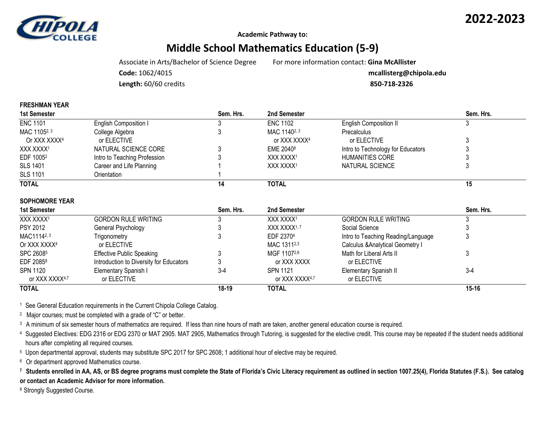

**Academic Pathway to:**

## **Middle School Mathematics Education (5-9)**

Associate in Arts/Bachelor of Science Degree For more information contact: **Gina McAllister**

**Code:** 1062/4015 **mcallisterg@chipola.edu**

**Length:** 60/60 credits **850-718-2326**

| 1st Semester             |                              | Sem. Hrs. | 2nd Semester             |                                   | Sem. Hrs. |
|--------------------------|------------------------------|-----------|--------------------------|-----------------------------------|-----------|
| <b>ENC 1101</b>          | English Composition I        |           | <b>ENC 1102</b>          | <b>English Composition II</b>     |           |
| MAC 11052, 3             | College Algebra              |           | MAC 1140 <sup>2, 3</sup> | Precalculus                       |           |
| Or XXX XXXX <sup>4</sup> | or ELECTIVE                  |           | or XXX XXXX <sup>4</sup> | or ELECTIVE                       |           |
| XXX XXXX1                | NATURAL SCIENCE CORE         |           | EME 2040 <sup>8</sup>    | Intro to Technology for Educators |           |
| EDF 1005 <sup>2</sup>    | Intro to Teaching Profession |           | XXX XXXX1                | HUMANITIES CORE                   |           |
| <b>SLS 1401</b>          | Career and Life Planning     |           | XXX XXXX1                | NATURAL SCIENCE                   |           |
| <b>SLS 1101</b>          | Orientation                  |           |                          |                                   |           |
| <b>TOTAL</b>             |                              | 14        | <b>TOTAL</b>             |                                   | 15        |
| <b>SOPHOMORE YEAR</b>    |                              |           |                          |                                   |           |
| <b>1st Semester</b>      |                              | Sem. Hrs. | 2nd Semester             |                                   | Sem. Hrs. |

| <b>1St Semester</b>      |                                         | əет. пгs. | znu semester            |                                             | эет. пгs. |
|--------------------------|-----------------------------------------|-----------|-------------------------|---------------------------------------------|-----------|
| XXX XXXX <sup>1</sup>    | <b>GORDON RULE WRITING</b>              |           | XXX XXXX1               | <b>GORDON RULE WRITING</b>                  |           |
| <b>PSY 2012</b>          | General Psychology                      |           | XXX XXXX <sup>1,7</sup> | Social Science                              |           |
| MAC11142, 3              | Trigonometry                            |           | EDF 23704               | Intro to Teaching Reading/Language          |           |
| Or XXX XXXX <sup>4</sup> | or ELECTIVE                             |           | MAC 13112,3             | <b>Calculus &amp; Analytical Geometry I</b> |           |
| SPC 26085                | <b>Effective Public Speaking</b>        |           | MGF 11072,6             | Math for Liberal Arts II                    |           |
| EDF 20858                | Introduction to Diversity for Educators |           | or XXX XXXX             | or ELECTIVE                                 |           |
| SPN 1120                 | Elementary Spanish I                    | 3-4       | SPN 1121                | <b>Elementary Spanish II</b>                | $3-4$     |
| or XXX XXXX4,7           | or ELECTIVE                             |           | or XXX XXXX4,7          | or ELECTIVE                                 |           |
| <b>TOTAL</b>             |                                         | $18-19$   | <b>TOTAL</b>            |                                             | $15 - 16$ |
|                          |                                         |           |                         |                                             |           |

<sup>1</sup> See General Education requirements in the Current Chipola College Catalog.

<sup>2</sup> Major courses; must be completed with a grade of "C" or better.

<sup>3</sup> A minimum of six semester hours of mathematics are required. If less than nine hours of math are taken, another general education course is required.

4 Suggested Electives: EDG 2316 or EDG 2370 or MAT 2905. MAT 2905, Mathematics through Tutoring, is suggested for the elective credit. This course may be repeated if the student needs additional hours after completing all required courses.

<sup>5</sup> Upon departmental approval, students may substitute SPC 2017 for SPC 2608; 1 additional hour of elective may be required.

<sup>6</sup> Or department approved Mathematics course.

<sup>7</sup> Students enrolled in AA, AS, or BS degree programs must complete the State of Florida's Civic Literacy requirement as outlined in section 1007.25(4), Florida Statutes (F.S.). See catalog **or contact an Academic Advisor for more information.**

8 Strongly Suggested Course.

**FRESHMAN YEAR**